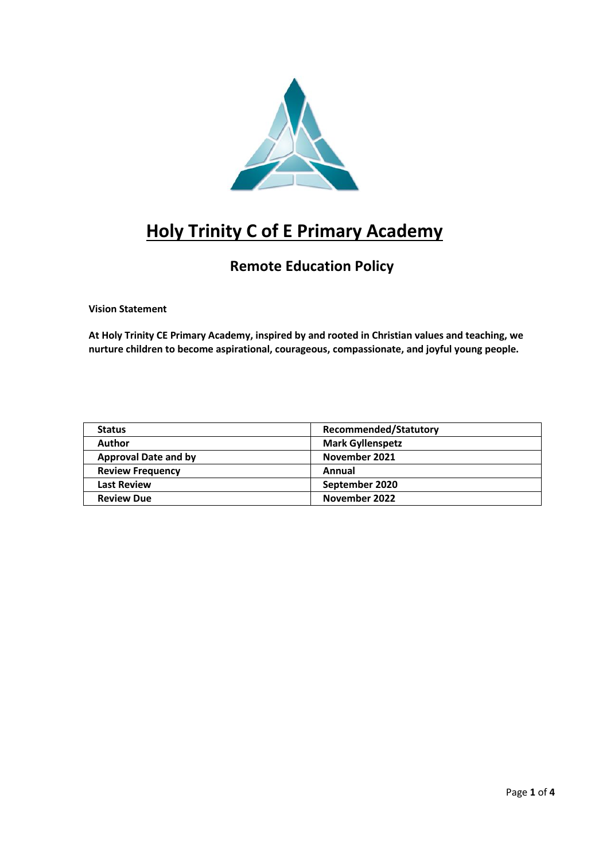

# **Holy Trinity C of E Primary Academy**

## **Remote Education Policy**

**Vision Statement**

**At Holy Trinity CE Primary Academy, inspired by and rooted in Christian values and teaching, we nurture children to become aspirational, courageous, compassionate, and joyful young people.**

| <b>Status</b>               | <b>Recommended/Statutory</b> |
|-----------------------------|------------------------------|
| Author                      | <b>Mark Gyllenspetz</b>      |
| <b>Approval Date and by</b> | November 2021                |
| <b>Review Frequency</b>     | Annual                       |
| <b>Last Review</b>          | September 2020               |
| <b>Review Due</b>           | November 2022                |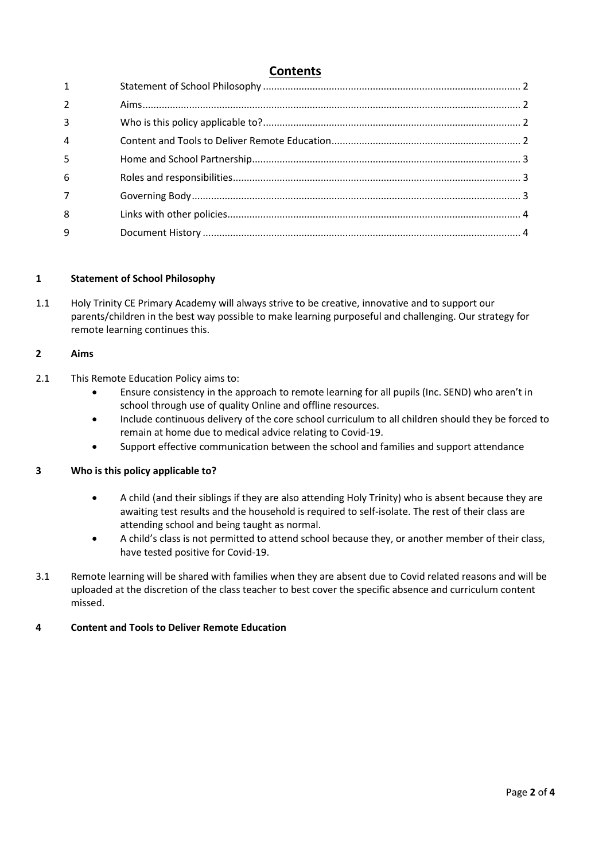### **Contents**

| $1 \quad \blacksquare$ |  |
|------------------------|--|
| $\overline{2}$         |  |
| 3                      |  |
| 4                      |  |
| 5                      |  |
| 6                      |  |
| $\overline{7}$         |  |
| 8                      |  |
| 9                      |  |
|                        |  |

#### <span id="page-1-0"></span>**1 Statement of School Philosophy**

1.1 Holy Trinity CE Primary Academy will always strive to be creative, innovative and to support our parents/children in the best way possible to make learning purposeful and challenging. Our strategy for remote learning continues this.

#### <span id="page-1-1"></span>**2 Aims**

- 2.1 This Remote Education Policy aims to:
	- Ensure consistency in the approach to remote learning for all pupils (Inc. SEND) who aren't in school through use of quality Online and offline resources.
	- Include continuous delivery of the core school curriculum to all children should they be forced to remain at home due to medical advice relating to Covid-19.
	- Support effective communication between the school and families and support attendance

#### <span id="page-1-2"></span>**3 Who is this policy applicable to?**

- A child (and their siblings if they are also attending Holy Trinity) who is absent because they are awaiting test results and the household is required to self-isolate. The rest of their class are attending school and being taught as normal.
- A child's class is not permitted to attend school because they, or another member of their class, have tested positive for Covid-19.
- 3.1 Remote learning will be shared with families when they are absent due to Covid related reasons and will be uploaded at the discretion of the class teacher to best cover the specific absence and curriculum content missed.

#### <span id="page-1-3"></span>**4 Content and Tools to Deliver Remote Education**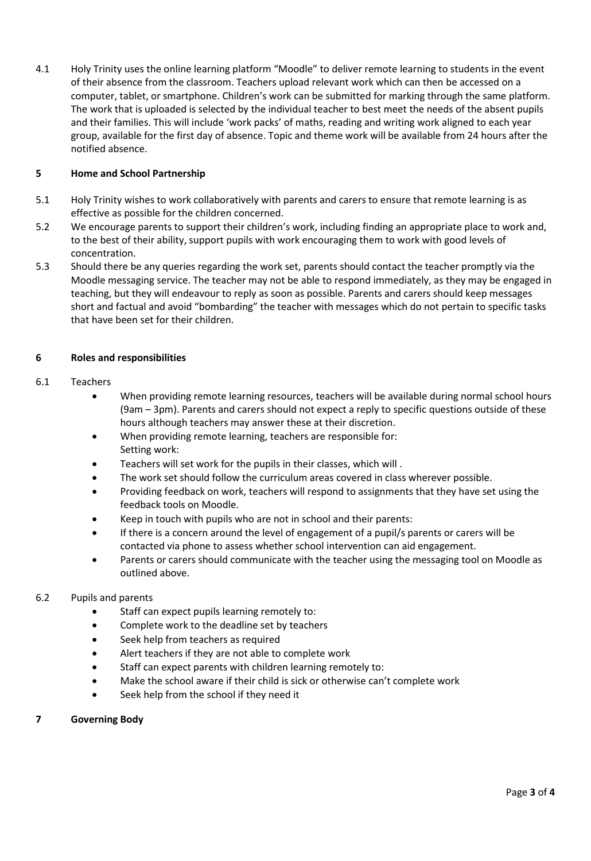4.1 Holy Trinity uses the online learning platform "Moodle" to deliver remote learning to students in the event of their absence from the classroom. Teachers upload relevant work which can then be accessed on a computer, tablet, or smartphone. Children's work can be submitted for marking through the same platform. The work that is uploaded is selected by the individual teacher to best meet the needs of the absent pupils and their families. This will include 'work packs' of maths, reading and writing work aligned to each year group, available for the first day of absence. Topic and theme work will be available from 24 hours after the notified absence.

#### <span id="page-2-0"></span>**5 Home and School Partnership**

- 5.1 Holy Trinity wishes to work collaboratively with parents and carers to ensure that remote learning is as effective as possible for the children concerned.
- 5.2 We encourage parents to support their children's work, including finding an appropriate place to work and, to the best of their ability, support pupils with work encouraging them to work with good levels of concentration.
- 5.3 Should there be any queries regarding the work set, parents should contact the teacher promptly via the Moodle messaging service. The teacher may not be able to respond immediately, as they may be engaged in teaching, but they will endeavour to reply as soon as possible. Parents and carers should keep messages short and factual and avoid "bombarding" the teacher with messages which do not pertain to specific tasks that have been set for their children.

#### <span id="page-2-1"></span>**6 Roles and responsibilities**

#### 6.1 Teachers

- When providing remote learning resources, teachers will be available during normal school hours (9am – 3pm). Parents and carers should not expect a reply to specific questions outside of these hours although teachers may answer these at their discretion.
- When providing remote learning, teachers are responsible for: Setting work:
- Teachers will set work for the pupils in their classes, which will .
- The work set should follow the curriculum areas covered in class wherever possible.
- Providing feedback on work, teachers will respond to assignments that they have set using the feedback tools on Moodle.
- Keep in touch with pupils who are not in school and their parents:
- If there is a concern around the level of engagement of a pupil/s parents or carers will be contacted via phone to assess whether school intervention can aid engagement.
- Parents or carers should communicate with the teacher using the messaging tool on Moodle as outlined above.

#### 6.2 Pupils and parents

- Staff can expect pupils learning remotely to:
- Complete work to the deadline set by teachers
- Seek help from teachers as required
- Alert teachers if they are not able to complete work
- Staff can expect parents with children learning remotely to:
- Make the school aware if their child is sick or otherwise can't complete work
- Seek help from the school if they need it

#### <span id="page-2-2"></span>**7 Governing Body**